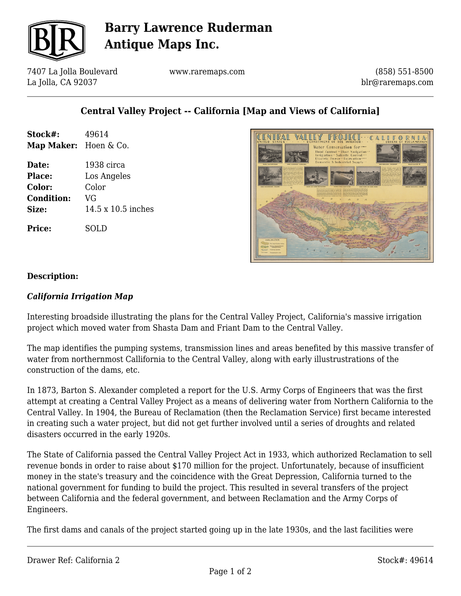

# **Barry Lawrence Ruderman Antique Maps Inc.**

7407 La Jolla Boulevard La Jolla, CA 92037

www.raremaps.com

(858) 551-8500 blr@raremaps.com

## **Central Valley Project -- California [Map and Views of California]**

| Stock#:<br>Map Maker: Hoen & Co. | 49614              |
|----------------------------------|--------------------|
| Date:                            | 1938 circa         |
| <b>Place:</b>                    | Los Angeles        |
| Color:                           | Color              |
| <b>Condition:</b>                | VG                 |
| Size:                            | 14.5 x 10.5 inches |
| <b>Price:</b>                    | SOLD               |



#### **Description:**

#### *California Irrigation Map*

Interesting broadside illustrating the plans for the Central Valley Project, California's massive irrigation project which moved water from Shasta Dam and Friant Dam to the Central Valley.

The map identifies the pumping systems, transmission lines and areas benefited by this massive transfer of water from northernmost Callifornia to the Central Valley, along with early illustrustrations of the construction of the dams, etc.

In 1873, Barton S. Alexander completed a report for the U.S. Army Corps of Engineers that was the first attempt at creating a Central Valley Project as a means of delivering water from Northern California to the Central Valley. In 1904, the Bureau of Reclamation (then the Reclamation Service) first became interested in creating such a water project, but did not get further involved until a series of droughts and related disasters occurred in the early 1920s.

The State of California passed the Central Valley Project Act in 1933, which authorized Reclamation to sell revenue bonds in order to raise about \$170 million for the project. Unfortunately, because of insufficient money in the state's treasury and the coincidence with the Great Depression, California turned to the national government for funding to build the project. This resulted in several transfers of the project between California and the federal government, and between Reclamation and the Army Corps of Engineers.

The first dams and canals of the project started going up in the late 1930s, and the last facilities were